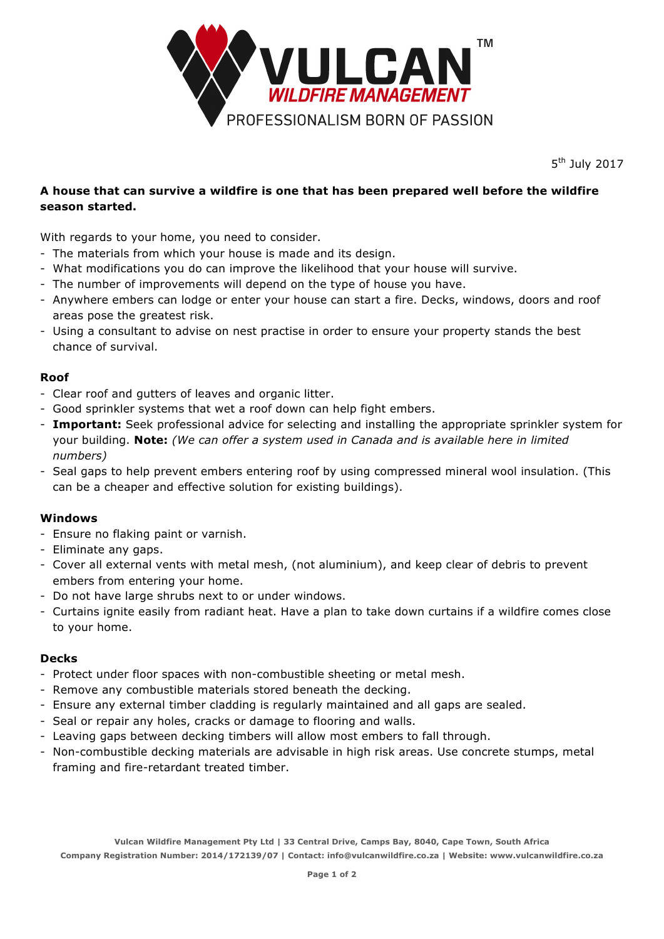

5<sup>th</sup> July 2017

# **A house that can survive a wildfire is one that has been prepared well before the wildfire season started.**

With regards to your home, you need to consider.

- The materials from which your house is made and its design.
- What modifications you do can improve the likelihood that your house will survive.
- The number of improvements will depend on the type of house you have.
- Anywhere embers can lodge or enter your house can start a fire. Decks, windows, doors and roof areas pose the greatest risk.
- Using a consultant to advise on nest practise in order to ensure your property stands the best chance of survival.

# **Roof**

- Clear roof and gutters of leaves and organic litter.
- Good sprinkler systems that wet a roof down can help fight embers.
- **Important:** Seek professional advice for selecting and installing the appropriate sprinkler system for your building. **Note:** *(We can offer a system used in Canada and is available here in limited numbers)*
- Seal gaps to help prevent embers entering roof by using compressed mineral wool insulation. (This can be a cheaper and effective solution for existing buildings).

# **Windows**

- Ensure no flaking paint or varnish.
- Eliminate any gaps.
- Cover all external vents with metal mesh, (not aluminium), and keep clear of debris to prevent embers from entering your home.
- Do not have large shrubs next to or under windows.
- Curtains ignite easily from radiant heat. Have a plan to take down curtains if a wildfire comes close to your home.

# **Decks**

- Protect under floor spaces with non-combustible sheeting or metal mesh.
- Remove any combustible materials stored beneath the decking.
- Ensure any external timber cladding is regularly maintained and all gaps are sealed.
- Seal or repair any holes, cracks or damage to flooring and walls.
- Leaving gaps between decking timbers will allow most embers to fall through.
- Non-combustible decking materials are advisable in high risk areas. Use concrete stumps, metal framing and fire-retardant treated timber.